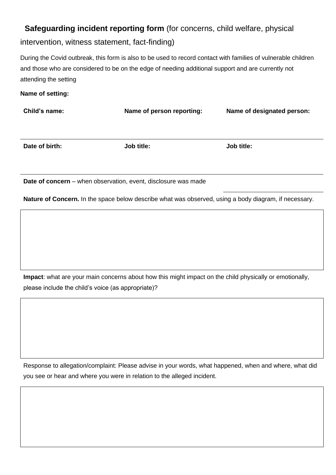# **Safeguarding incident reporting form** (for concerns, child welfare, physical

# intervention, witness statement, fact-finding)

During the Covid outbreak, this form is also to be used to record contact with families of vulnerable children and those who are considered to be on the edge of needing additional support and are currently not attending the setting

#### **Name of setting:**

**Child's name: Name of person reporting: Name of designated person:**

**Date of birth: Job title: Job title:**

**Date of concern** – when observation, event, disclosure was made

**Nature of Concern.** In the space below describe what was observed, using a body diagram, if necessary.

**Impact**: what are your main concerns about how this might impact on the child physically or emotionally, please include the child's voice (as appropriate)?

Response to allegation/complaint: Please advise in your words, what happened, when and where, what did you see or hear and where you were in relation to the alleged incident.